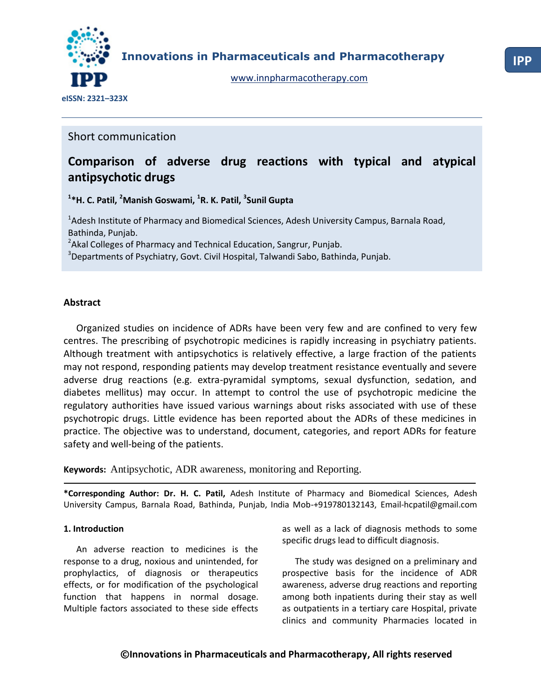

**Innovations in Pharmaceuticals and Pharmacotherapy**

[www.innpharmacotherapy.com](http://www.innpharmacotherapy.com/)

Short communication

# **Comparison of adverse drug reactions with typical and atypical antipsychotic drugs**

**1 \*H. C. Patil, <sup>2</sup>Manish Goswami, <sup>1</sup> R. K. Patil, <sup>3</sup> Sunil Gupta**

<sup>1</sup>Adesh Institute of Pharmacy and Biomedical Sciences, Adesh University Campus, Barnala Road, Bathinda, Punjab.

<sup>2</sup> Akal Colleges of Pharmacy and Technical Education, Sangrur, Punjab.

<sup>3</sup>Departments of Psychiatry, Govt. Civil Hospital, Talwandi Sabo, Bathinda, Punjab.

## **Abstract**

Organized studies on incidence of ADRs have been very few and are confined to very few centres. The prescribing of psychotropic medicines is rapidly increasing in psychiatry patients. Although treatment with antipsychotics is relatively effective, a large fraction of the patients may not respond, responding patients may develop treatment resistance eventually and severe adverse drug reactions (e.g. extra-pyramidal symptoms, sexual dysfunction, sedation, and diabetes mellitus) may occur. In attempt to control the use of psychotropic medicine the regulatory authorities have issued various warnings about risks associated with use of these psychotropic drugs. Little evidence has been reported about the ADRs of these medicines in practice. The objective was to understand, document, categories, and report ADRs for feature safety and well-being of the patients.

**Keywords:** Antipsychotic, ADR awareness, monitoring and Reporting.

**\*Corresponding Author: Dr. H. C. Patil,** Adesh Institute of Pharmacy and Biomedical Sciences, Adesh University Campus, Barnala Road, Bathinda, Punjab, India Mob-+919780132143, Email-hcpatil@gmail.com

#### **1. Introduction**

An adverse reaction to medicines is the response to a drug, noxious and unintended, for prophylactics, of diagnosis or therapeutics effects, or for modification of the psychological function that happens in normal dosage. Multiple factors associated to these side effects

as well as a lack of diagnosis methods to some specific drugs lead to difficult diagnosis.

The study was designed on a preliminary and prospective basis for the incidence of ADR awareness, adverse drug reactions and reporting among both inpatients during their stay as well as outpatients in a tertiary care Hospital, private clinics and community Pharmacies located in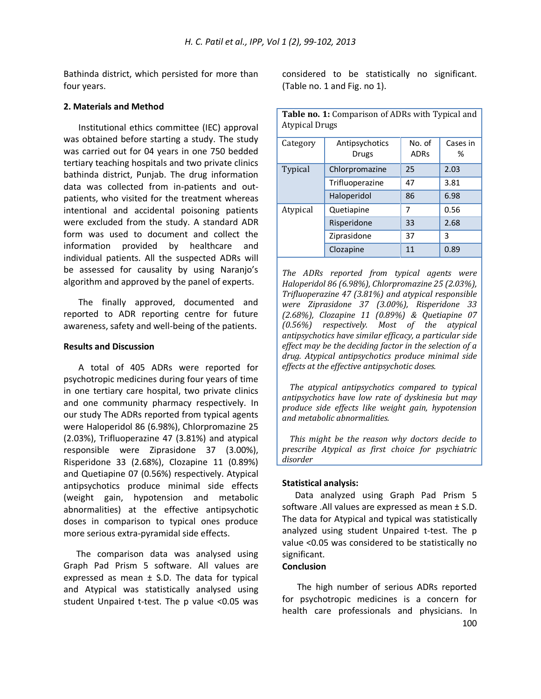Bathinda district, which persisted for more than four years.

#### **2. Materials and Method**

Institutional ethics committee (IEC) approval was obtained before starting a study. The study was carried out for 04 years in one 750 bedded tertiary teaching hospitals and two private clinics bathinda district, Punjab. The drug information data was collected from in-patients and outpatients, who visited for the treatment whereas intentional and accidental poisoning patients were excluded from the study. A standard ADR form was used to document and collect the information provided by healthcare and individual patients. All the suspected ADRs will be assessed for causality by using Naranjo's algorithm and approved by the panel of experts.

The finally approved, documented and reported to ADR reporting centre for future awareness, safety and well-being of the patients.

#### **Results and Discussion**

A total of 405 ADRs were reported for psychotropic medicines during four years of time in one tertiary care hospital, two private clinics and one community pharmacy respectively. In our study The ADRs reported from typical agents were Haloperidol 86 (6.98%), Chlorpromazine 25 (2.03%), Trifluoperazine 47 (3.81%) and atypical responsible were Ziprasidone 37 (3.00%), Risperidone 33 (2.68%), Clozapine 11 (0.89%) and Quetiapine 07 (0.56%) respectively. Atypical antipsychotics produce minimal side effects (weight gain, hypotension and metabolic abnormalities) at the effective antipsychotic doses in comparison to typical ones produce more serious extra-pyramidal side effects.

The comparison data was analysed using Graph Pad Prism 5 software. All values are expressed as mean  $\pm$  S.D. The data for typical and Atypical was statistically analysed using student Unpaired t-test. The p value <0.05 was considered to be statistically no significant. (Table no. 1 and Fig. no 1).

| Table no. 1: Comparison of ADRs with Typical and<br><b>Atypical Drugs</b> |                         |                       |               |
|---------------------------------------------------------------------------|-------------------------|-----------------------|---------------|
| Category                                                                  | Antipsychotics<br>Drugs | No. of<br><b>ADRs</b> | Cases in<br>℅ |
| <b>Typical</b>                                                            | Chlorpromazine          | 25                    | 2.03          |
|                                                                           | Trifluoperazine         | 47                    | 3.81          |
|                                                                           | Haloperidol             | 86                    | 6.98          |
| Atypical                                                                  | Quetiapine              | 7                     | 0.56          |
|                                                                           | Risperidone             | 33                    | 2.68          |
|                                                                           | Ziprasidone             | 37                    | 3             |
|                                                                           | Clozapine               | 11                    | 0.89          |

*The ADRs reported from typical agents were Haloperidol 86 (6.98%), Chlorpromazine 25 (2.03%), Trifluoperazine 47 (3.81%) and atypical responsible were Ziprasidone 37 (3.00%), Risperidone 33 (2.68%), Clozapine 11 (0.89%) & Quetiapine 07 (0.56%) respectively. Most of the atypical antipsychotics have similar efficacy, a particular side effect may be the deciding factor in the selection of a drug. Atypical antipsychotics produce minimal side effects at the effective antipsychotic doses.*

 *The atypical antipsychotics compared to typical antipsychotics have low rate of dyskinesia but may produce side effects like weight gain, hypotension and metabolic abnormalities.*

 *This might be the reason why doctors decide to prescribe Atypical as first choice for psychiatric disorder*

#### **Statistical analysis:**

Data analyzed using Graph Pad Prism 5 software .All values are expressed as mean ± S.D. The data for Atypical and typical was statistically analyzed using student Unpaired t-test. The p value <0.05 was considered to be statistically no significant.

### **Conclusion**

The high number of serious ADRs reported for psychotropic medicines is a concern for health care professionals and physicians. In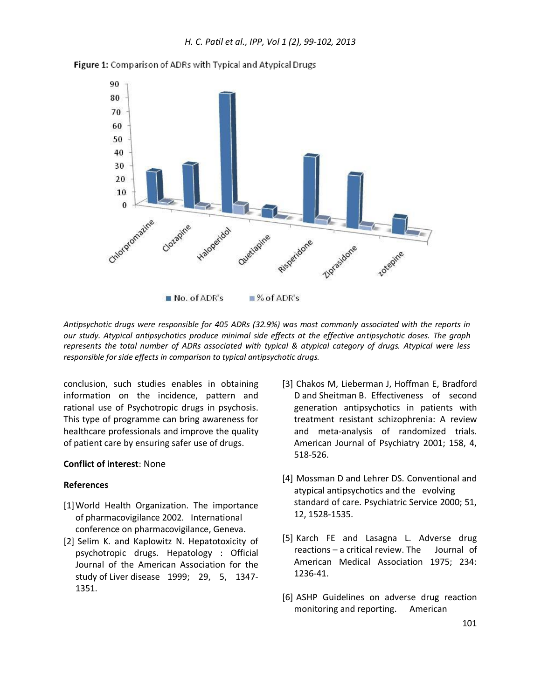



*Antipsychotic drugs were responsible for 405 ADRs (32.9%) was most commonly associated with the reports in our study. Atypical antipsychotics produce minimal side effects at the effective antipsychotic doses. The graph represents the total number of ADRs associated with typical & atypical category of drugs. Atypical were less responsible for side effects in comparison to typical antipsychotic drugs.*

conclusion, such studies enables in obtaining information on the incidence, pattern and rational use of Psychotropic drugs in psychosis. This type of programme can bring awareness for healthcare professionals and improve the quality of patient care by ensuring safer use of drugs.

## **Conflict of interest**: None

#### **References**

- [1]World Health Organization. The importance of pharmacovigilance 2002. International conference on pharmacovigilance, Geneva.
- [2] Selim K. and Kaplowitz N. Hepatotoxicity of psychotropic drugs. Hepatology : Official Journal of the American Association for the study of Liver disease 1999; 29, 5, 1347- 1351.
- [3] Chakos M, Lieberman J, Hoffman E, Bradford D and Sheitman B. Effectiveness of second generation antipsychotics in patients with treatment resistant schizophrenia: A review and meta-analysis of randomized trials. American Journal of Psychiatry 2001; 158, 4, 518-526.
- [4] Mossman D and Lehrer DS. Conventional and atypical antipsychotics and the evolving standard of care. Psychiatric Service 2000; 51, 12, 1528-1535.
- [5] Karch FE and Lasagna L. Adverse drug reactions – a critical review. The Journal of American Medical Association 1975; 234: 1236-41.
- [6] ASHP Guidelines on adverse drug reaction monitoring and reporting. American